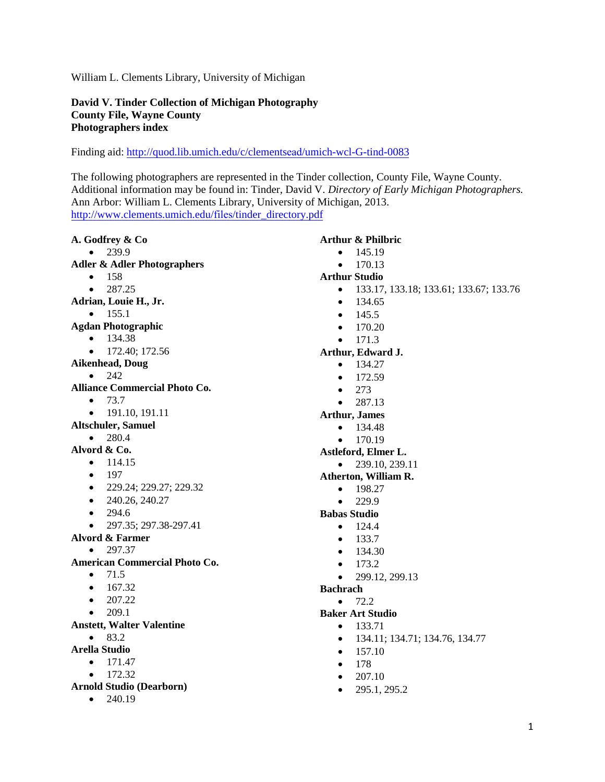William L. Clements Library, University of Michigan

## **David V. Tinder Collection of Michigan Photography County File, Wayne County Photographers index**

Finding aid: [http://quod.lib.umich.edu/c/clements](https://quod.lib.umich.edu/c/clementsead/umich-wcl-G-tind-0083?view=text)ead/umich-wcl-G-tind-0083

The following photographers are represented in the Tinder collection, County File, Wayne County. Additional information may be found in: Tinder, David V. *Directory of Early Michigan Photographers.*  Ann Arbor: William L. Clements Library, University of Michigan, 2013. [http://www.clements.umich.edu/](http://www.clements.umich.edu/files/tinder_directory.pdf)files/tinder\_directory.pdf

| A. Godfrey & Co                        | <b>Arthur &amp; Philbric</b>                        |
|----------------------------------------|-----------------------------------------------------|
| 239.9                                  | 145.19<br>$\bullet$                                 |
| <b>Adler &amp; Adler Photographers</b> | 170.13<br>$\bullet$                                 |
| 158<br>$\bullet$                       | <b>Arthur Studio</b>                                |
| 287.25<br>$\bullet$                    | 133.17, 133.18; 133.61; 133.67; 133.76<br>$\bullet$ |
| Adrian, Louie H., Jr.                  | 134.65<br>$\bullet$                                 |
| 155.1<br>$\bullet$                     | 145.5<br>$\bullet$                                  |
| <b>Agdan Photographic</b>              | 170.20<br>$\bullet$                                 |
| 134.38<br>$\bullet$                    | 171.3<br>$\bullet$                                  |
| 172.40; 172.56<br>$\bullet$            | Arthur, Edward J.                                   |
| <b>Aikenhead, Doug</b>                 | 134.27<br>$\bullet$                                 |
| 242<br>$\bullet$                       | 172.59<br>$\bullet$                                 |
| <b>Alliance Commercial Photo Co.</b>   | 273<br>$\bullet$                                    |
| 73.7<br>$\bullet$                      | 287.13<br>$\bullet$                                 |
| 191.10, 191.11<br>$\bullet$            | <b>Arthur, James</b>                                |
| <b>Altschuler, Samuel</b>              | 134.48<br>$\bullet$                                 |
| 280.4<br>$\bullet$                     | 170.19<br>$\bullet$                                 |
| Alvord & Co.                           | Astleford, Elmer L.                                 |
| 114.15<br>$\bullet$                    | 239.10, 239.11<br>$\bullet$                         |
| 197<br>$\bullet$                       | Atherton, William R.                                |
| 229.24; 229.27; 229.32<br>$\bullet$    | 198.27<br>$\bullet$                                 |
| 240.26, 240.27<br>$\bullet$            | 229.9<br>$\bullet$                                  |
| 294.6<br>$\bullet$                     | <b>Babas Studio</b>                                 |
| 297.35; 297.38-297.41<br>$\bullet$     | 124.4<br>$\bullet$                                  |
| <b>Alvord &amp; Farmer</b>             | 133.7<br>$\bullet$                                  |
| 297.37<br>$\bullet$                    | 134.30<br>$\bullet$                                 |
| <b>American Commercial Photo Co.</b>   | 173.2<br>$\bullet$                                  |
| 71.5<br>$\bullet$                      | 299.12, 299.13<br>$\bullet$                         |
| 167.32<br>$\bullet$                    | <b>Bachrach</b>                                     |
| 207.22<br>$\bullet$                    | 72.2                                                |
| 209.1<br>$\bullet$                     | <b>Baker Art Studio</b>                             |
| <b>Anstett, Walter Valentine</b>       | 133.71<br>$\bullet$                                 |
| 83.2<br>$\bullet$                      | 134.11; 134.71; 134.76, 134.77<br>$\bullet$         |
| <b>Arella Studio</b>                   | 157.10<br>$\bullet$                                 |
| 171.47<br>$\bullet$                    | 178<br>$\bullet$                                    |
| 172.32<br>$\bullet$                    | 207.10<br>$\bullet$                                 |
| <b>Arnold Studio (Dearborn)</b>        | 295.1, 295.2<br>$\bullet$                           |
| 240.19<br>$\bullet$                    |                                                     |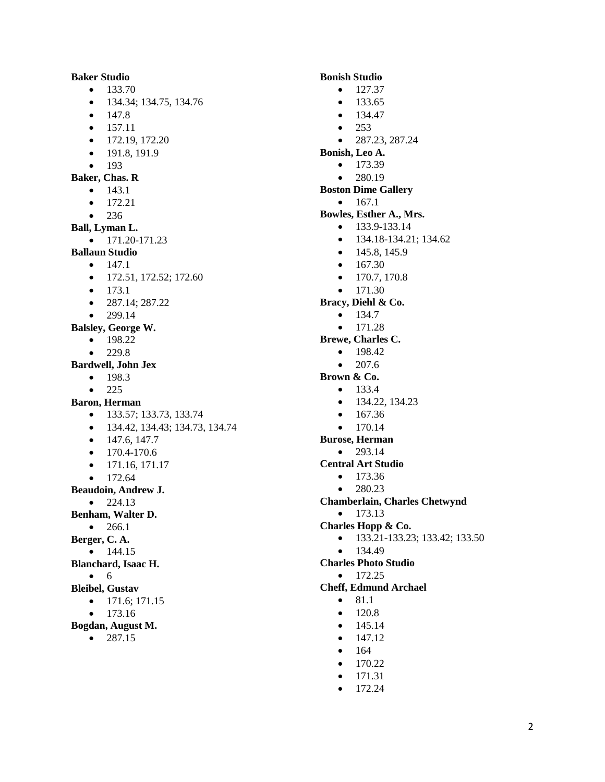**Baker Studio**  $-133.70$  134.34; 134.75, 134.76  $• 147.8$  $\bullet$  157.11  $\bullet$  172.19, 172.20  $-191.8, 191.9$  $• 193$ **Baker, Chas. R**  $\bullet$  143.1  $• 172.21$  $• 236$ **Ball, Lyman L.**  $\bullet$  171.20-171.23 **Ballaun Studio**  $-147.1$  $\bullet$  172.51, 172.52; 172.60  $• 173.1$  $\bullet$  287.14; 287.22  $• 299.14$ **Balsley, George W.**  $-198.22$  $-229.8$ **Bardwell, John Jex**  $-198.3$  $• 225$ **Baron, Herman**  $\bullet$  133.57; 133.73, 133.74 134.42, 134.43; 134.73, 134.74  $\bullet$  147.6, 147.7  $\bullet$  170.4-170.6  $\bullet$  171.16, 171.17  $• 172.64$ **Beaudoin, Andrew J.**  $• 224.13$ **Benham, Walter D.**  $• 266.1$ **Berger, C. A.**  $• 144.15$ **Blanchard, Isaac H.**  $\bullet$  6 **Bleibel, Gustav**  $\bullet$  171.6; 171.15  $• 173.16$ **Bogdan, August M.**  $• 287.15$ 

- **Bonish Studio**  $-127.37$  $-133.65$  $• 134.47$  $• 253$  $\bullet$  287.23, 287.24 **Bonish, Leo A.**  $-173.39$  $• 280.19$ **Boston Dime Gallery**  $• 167.1$ **Bowles, Esther A., Mrs.**  $\bullet$  133.9-133.14  $\bullet$  134.18-134.21; 134.62  $\bullet$  145.8, 145.9  $• 167.30$  $\bullet$  170.7, 170.8  $\bullet$  171.30 **Bracy, Diehl & Co.**  $• 134.7$  $\bullet$  171.28 **Brewe, Charles C.**  $-198.42$  $• 207.6$ **Brown & Co.**  $• 133.4$  $\bullet$  134.22, 134.23  $• 167.36$  $• 170.14$ **Burose, Herman**  $-293.14$ **Central Art Studio**  $• 173.36$  $• 280.23$ **Chamberlain, Charles Chetwynd**  $\bullet$  173.13 **Charles Hopp & Co.** 133.21-133.23; 133.42; 133.50  $• 134.49$ **Charles Photo Studio**  $\bullet$  172.25 **Cheff, Edmund Archael**  $\bullet$  81.1  $\bullet$  120.8  $• 145.14$  $\bullet$  147.12
	- $164$
	- $-170.22$
	- $\bullet$  171.31
	- $\bullet$  172.24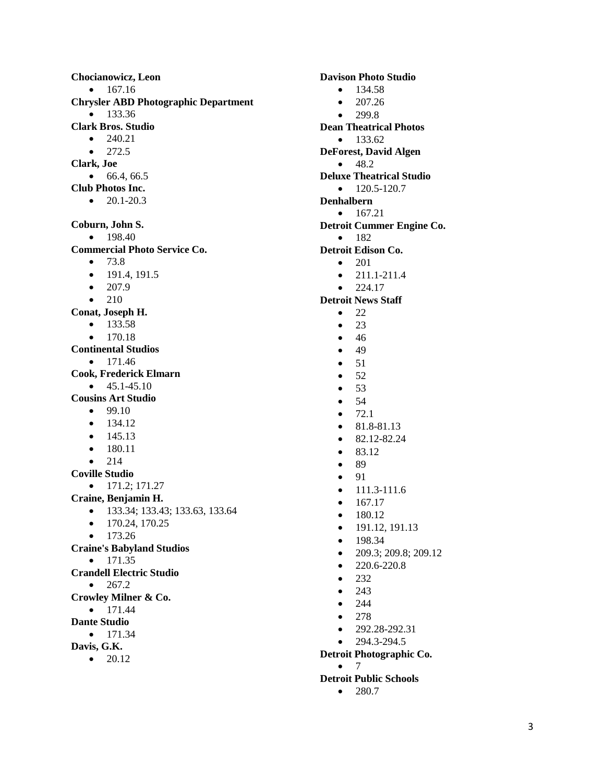**Chocianowicz, Leon**  $• 167.16$ **Chrysler ABD Photographic Department**  $• 133.36$ **Clark Bros. Studio**  $\bullet$  240.21  $• 272.5$ **Clark, Joe**  $66.4, 66.5$ **Club Photos Inc.**  $\bullet$  20.1-20.3 **Coburn, John S.**  $-198.40$ **Commercial Photo Service Co.**  $• 73.8$  $\bullet$  191.4, 191.5  $\bullet$  207.9  $\bullet$  210 **Conat, Joseph H.**  $• 133.58$  $• 170.18$ **Continental Studios**  $• 171.46$ **Cook, Frederick Elmarn**  $\bullet$  45.1-45.10 **Cousins Art Studio**  $99.10$  $• 134.12$  $• 145.13$  $-180.11$  $• 214$ **Coville Studio**  $\bullet$  171.2; 171.27 **Craine, Benjamin H.** 133.34; 133.43; 133.63, 133.64  $\bullet$  170.24, 170.25  $• 173.26$ **Craine's Babyland Studios**  $\bullet$  171.35 **Crandell Electric Studio**  $• 267.2$ **Crowley Milner & Co.**  $\bullet$  171.44 **Dante Studio**  $• 171.34$ **Davis, G.K.**

 $\bullet$  20.12

**Davison Photo Studio**  $• 134.58$  $• 207.26$  $• 299.8$ **Dean Theatrical Photos**  $-133.62$ **DeForest, David Algen**  $-48.2$ **Deluxe Theatrical Studio**  $\bullet$  120.5-120.7 **Denhalbern**  $\bullet$  167.21 **Detroit Cummer Engine Co.**  $-182$ **Detroit Edison Co.**  $\bullet$  201  $\bullet$  211.1-211.4  $• 224.17$ **Detroit News Staff**  $\bullet$  22  $\bullet$  23  $• 46$  $-49$  $• 51$  $\bullet$  52  $• 53$  $• 54$  $-72.1$  $\bullet$  81.8-81.13  $\bullet$  82.12-82.24  $\bullet$  83.12  $\bullet$  89  $\bullet$  91  $\bullet$  111.3-111.6  $\bullet$  167.17  $-180.12$  $\bullet$  191.12, 191.13  $• 198.34$  209.3; 209.8; 209.12  $\bullet$  220.6-220.8  $-232$  $• 243$  $• 244$  $• 278$  $\bullet$  292.28-292.31  $-294.3 - 294.5$ **Detroit Photographic Co.**  $^{\bullet}$  7 **Detroit Public Schools**

 $• 280.7$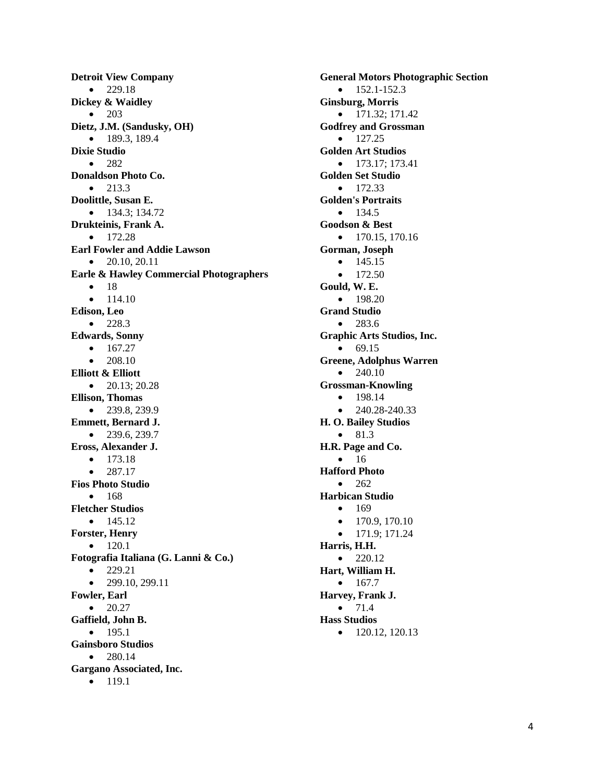**Detroit View Company**  $• 229.18$ **Dickey & Waidley** • 203 **Dietz, J.M. (Sandusky, OH)**  $\bullet$  189.3, 189.4 **Dixie Studio**  $-282$ **Donaldson Photo Co.**  $• 213.3$ **Doolittle, Susan E.**  $\bullet$  134.3; 134.72 **Drukteinis, Frank A.**  $\bullet$  172.28 **Earl Fowler and Addie Lawson**  $\bullet$  20.10, 20.11 **Earle & Hawley Commercial Photographers**  $• 18$  114.10 **Edison, Leo**  $• 228.3$ **Edwards, Sonny**  $• 167.27$  208.10 **Elliott & Elliott**  $\bullet$  20.13; 20.28 **Ellison, Thomas**  $-239.8, 239.9$ **Emmett, Bernard J.**  $-239.6, 239.7$ **Eross, Alexander J.**  $-173.18$  $• 287.17$ **Fios Photo Studio**  $• 168$ **Fletcher Studios**  $• 145.12$ **Forster, Henry**  $\bullet$  120.1 **Fotografia Italiana (G. Lanni & Co.)**  $• 229.21$  $\bullet$  299.10, 299.11 **Fowler, Earl**  $\bullet$  20.27 **Gaffield, John B.**  $-195.1$ **Gainsboro Studios**  $• 280.14$ **Gargano Associated, Inc.**  $• 119.1$ 

**General Motors Photographic Section**  $-152.1 - 152.3$ **Ginsburg, Morris**  $\bullet$  171.32; 171.42 **Godfrey and Grossman**  $-127.25$ **Golden Art Studios**  $\bullet$  173.17; 173.41 **Golden Set Studio**  $• 172.33$ **Golden's Portraits**  $• 134.5$ **Goodson & Best**  $\bullet$  170.15, 170.16 **Gorman, Joseph**  $-145.15$  $• 172.50$ **Gould, W. E.**  $-198.20$ **Grand Studio**  $• 283.6$ **Graphic Arts Studios, Inc.**  $69.15$ **Greene, Adolphus Warren**  $\bullet$  240.10 **Grossman-Knowling**  $-198.14$  $\bullet$  240.28-240.33 **H. O. Bailey Studios**  $• 81.3$ **H.R. Page and Co.**  $• 16$ **Hafford Photo**  $-262$ **Harbican Studio**  $• 169$  $\bullet$  170.9, 170.10  $\bullet$  171.9; 171.24 **Harris, H.H.**  $\bullet$  220.12 **Hart, William H.**  $• 167.7$ **Harvey, Frank J.**  $• 71.4$ **Hass Studios**  $\bullet$  120.12, 120.13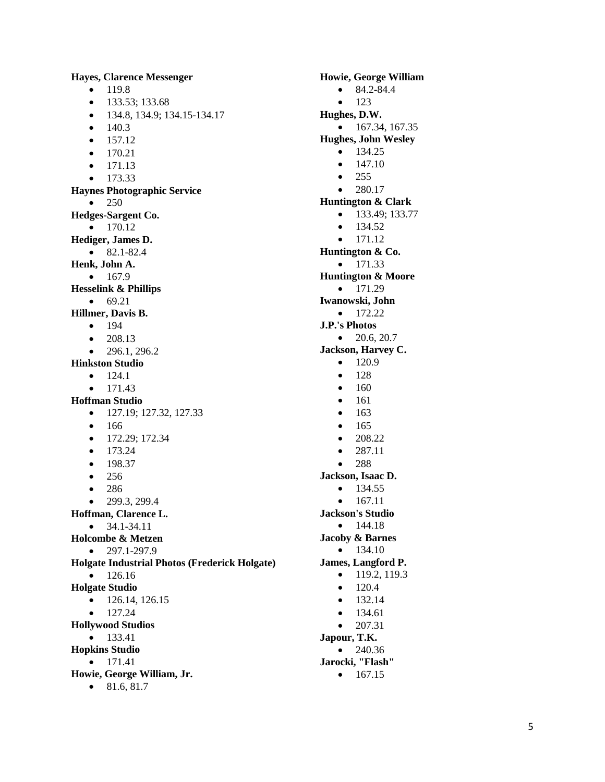**Hayes, Clarence Messenger**  $-119.8$  $\bullet$  133.53; 133.68 134.8, 134.9; 134.15 -134.17  $\bullet$  140.3  $• 157.12$  $• 170.21$  $\bullet$  171.13  $• 173.33$ **Haynes Photographic Service**  $• 250$ **Hedges -Sargent Co.**  $\bullet$  170.12 **Hediger, James D.**  $\bullet$  82.1-82.4 **Henk, John A.**  $• 167.9$ **Hesselink & Phillips**  $69.21$ **Hillmer, Davis B.**  $-194$  208.13  $\bullet$  296.1, 296.2 **Hinkston Studio**  $\bullet$  124.1 171.43 **Hoffman Studio**  $\bullet$  127.19; 127.32, 127.33  $• 166$ • 172.29; 172.34  $• 173.24$  $-198.37$  $• 256$ • 286  $\bullet$  299.3, 299.4 **Hoffman, Clarence L.**  $\bullet$  34.1-34.11 **Holcombe & Metzen**  $\bullet$  297.1-297.9 **Holgate Industrial Photos (Frederick Holgate)**  $• 126.16$ **Holgate Studio**  $\bullet$  126.14, 126.15  $\bullet$  127.24 **Hollywood Studios**  $• 133.41$ **Hopkins Studio**  $\bullet$  171.41 **Howie, George William, Jr.**  $\bullet$  81.6, 81.7

**Howie, George William**  $\bullet$  84.2-84.4  $-123$ **Hughes, D.W.**  $\bullet$  167.34, 167.35 **Hughes, John Wesley**  $-134.25$  $• 147.10$  $• 255$  $• 280.17$ **Huntington & Clark**  $\bullet$  133.49; 133.77  $• 134.52$  $\bullet$  171.12 **Huntington & Co.**  $-171.33$ **Huntington & Moore**  $-171.29$ **Iwanowski, John**  $\bullet$  172.22 **J.P.'s Photos**  $\bullet$  20.6, 20.7 **Jackson, Harvey C.**  $-120.9$  $• 128$  $-160$  $• 161$  $• 163$  $• 165$  $\bullet$  208.22  $• 287.11$  $• 288$ **Jackson, Isaac D.**  $-134.55$  $\bullet$  167.11 **Jackson's Studio**  $• 144.18$ **Jacoby & Barnes**  $\bullet$  134.10 **James, Langford P.**  $\bullet$  119.2, 119.3  $\bullet$  120.4  $-132.14$  $• 134.61$  $\bullet$  207.31 **Japour, T.K.**  $• 240.36$ **Jarocki, "Flash"**  $\bullet$  167.15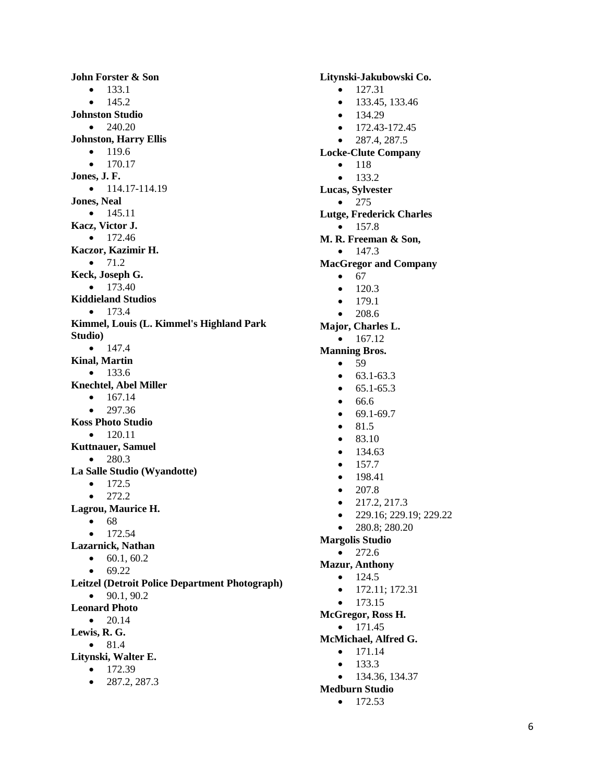**John Forster & Son**  $-133.1$  145.2 **Johnston Studio**  $\bullet$  240.20 **Johnston, Harry Ellis**  $• 119.6$  $• 170.17$ **Jones, J. F.**  $-114.17 - 114.19$ **Jones, Neal**  $• 145.11$ **Kacz, Victor J.**  $• 172.46$ **Kaczor, Kazimir H.**  $\bullet$  71.2 **Keck, Joseph G.**  $• 173.40$ **Kiddieland Studios**  $• 173.4$ **Kimmel, Louis (L. Kimmel's Highland Park Studio)**  $• 147.4$ **Kinal, Martin**  $• 133.6$ **Knechtel, Abel Miller**  $• 167.14$  $• 297.36$ **Koss Photo Studio**  $\bullet$  120.11 **Kuttnauer, Samuel**  $-280.3$ **La Salle Studio (Wyandotte)**  $• 172.5$  $• 272.2$ **Lagrou, Maurice H.**  $68$  $• 172.54$ **Lazarnick, Nathan**  $\bullet$  60.1, 60.2  $69.22$ **Leitzel (Detroit Police Department Photograph)**  $\bullet$  90.1, 90.2 **Leonard Photo**  $\bullet$  20.14 **Lewis, R. G.**  $\bullet$  81.4 **Litynski, Walter E.**  $• 172.39$  $\bullet$  287.2, 287.3

**Litynski -Jakubowski Co.**  $\bullet$  127.31  $\bullet$  133.45, 133.46  $• 134.29$  $\bullet$  172.43-172.45  $\bullet$  287.4, 287.5 **Locke -Clute Company**  $-118$  $-133.2$ **Lucas, Sylvester**  $• 275$ **Lutge, Frederick Charles**  $• 157.8$ **M. R. Freeman & Son,**  $\bullet$  147.3 **MacGregor and Company**  $667$  $-120.3$  $• 1791$  $• 208.6$ **Major, Charles L.**  $\bullet$  167.12 **Manning Bros.**  $• 59$  $\bullet$  63.1-63.3  $\bullet$  65.1-65.3  $66.6$  $69.1-69.7$  $\bullet$  81.5  $•$  83.10  $• 134.63$  $-157.7$  $-198.41$  $\bullet$  207.8  $\bullet$  217.2, 217.3  $\bullet$  229.16; 229.19; 229.22  $\bullet$  280.8; 280.20 **Margolis Studio**  $• 272.6$ **Mazur, Anthony**  $\bullet$  124.5  $\bullet$  172.11; 172.31  $• 173.15$ **McGregor, Ross H.**  $-171.45$ **McMichael, Alfred G.**  $• 171.14$  $• 133.3$  $-134.36, 134.37$ **Medburn Studio**

 $\bullet$  172.53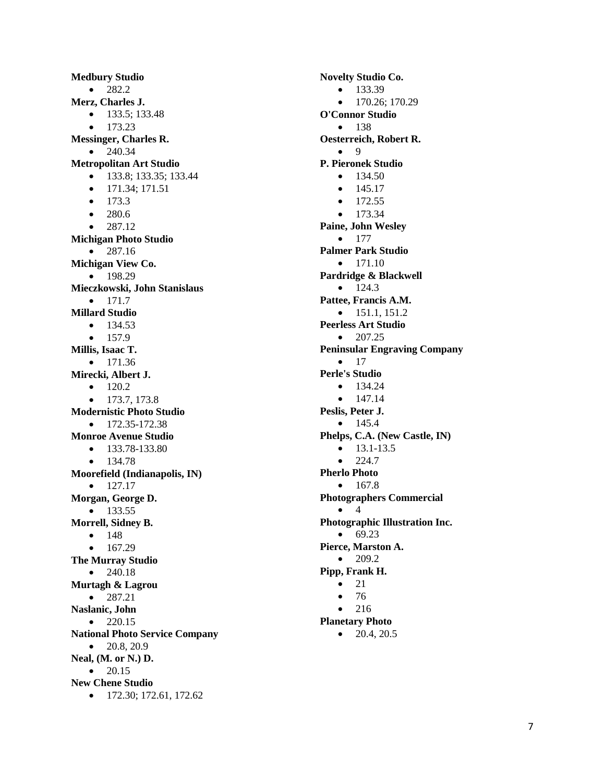**Medbury Studio**  $-282.2$ **Merz, Charles J.**  $\bullet$  133.5; 133.48  $• 173.23$ **Messinger, Charles R.**  $• 240.34$ **Metropolitan Art Studio**  $\bullet$  133.8; 133.35; 133.44  $\bullet$  171.34; 171.51  $• 173.3$  $-280.6$  $• 287.12$ **Michigan Photo Studio**  $• 287.16$ **Michigan View Co.**  $-198.29$ **Mieczkowski, John Stanislaus**  $• 171.7$ **Millard Studio**  $• 134.53$  $• 157.9$ **Millis, Isaac T.**  $\bullet$  171.36 **Mirecki, Albert J.**  $\bullet$  120.2  $\bullet$  173.7, 173.8 **Modernistic Photo Studio**  $\bullet$  172.35-172.38 **Monroe Avenue Studio**  $\bullet$  133.78-133.80  $• 134.78$ **Moorefield (Indianapolis, IN)**  $\bullet$  127.17 **Morgan, George D.**  $• 133.55$ **Morrell, Sidney B.**  $• 148$  167.29 **The Murray Studio**  $• 240.18$ **Murtagh & Lagrou**  $• 287.21$ **Naslanic, John**  $• 220.15$ **National Photo Service Company**  $\bullet$  20.8, 20.9 **Neal, (M. or N.) D.**  $\bullet$  20.15 **New Chene Studio**  $\bullet$  172.30; 172.61, 172.62

**Novelty Studio Co.**  $-133.39$  170.26; 170.29 **O'Connor Studio**  $• 138$ **Oesterreich, Robert R.**  $\bullet$  9 **P. Pieronek Studio**  $• 134.50$  $• 145.17$  $• 172.55$  $• 173.34$ **Paine, John Wesley**  $-177$ **Palmer Park Studio**  $\bullet$  171.10 **Pardridge & Blackwell**  $-124.3$ **Pattee, Francis A.M.**  $\bullet$  151.1, 151.2 **Peerless Art Studio**  $\bullet$  207.25 **Peninsular Engraving Company**  $\bullet$  17 **Perle's Studio**  $\bullet$  134.24  $• 147.14$ **Peslis, Peter J.**  $-145.4$ **Phelps, C.A. (New Castle, IN)**  $-13.1-13.5$  $• 224.7$ **Pherlo Photo**  $• 167.8$ **Photographers Commercial**  $\bullet$  4 **Photographic Illustration Inc.**  $69.23$ **Pierce, Marston A.**  $-209.2$ **Pipp, Frank H.**  $\bullet$  21  $• 76$  $• 216$ **Planetary Photo**  $\bullet$  20.4, 20.5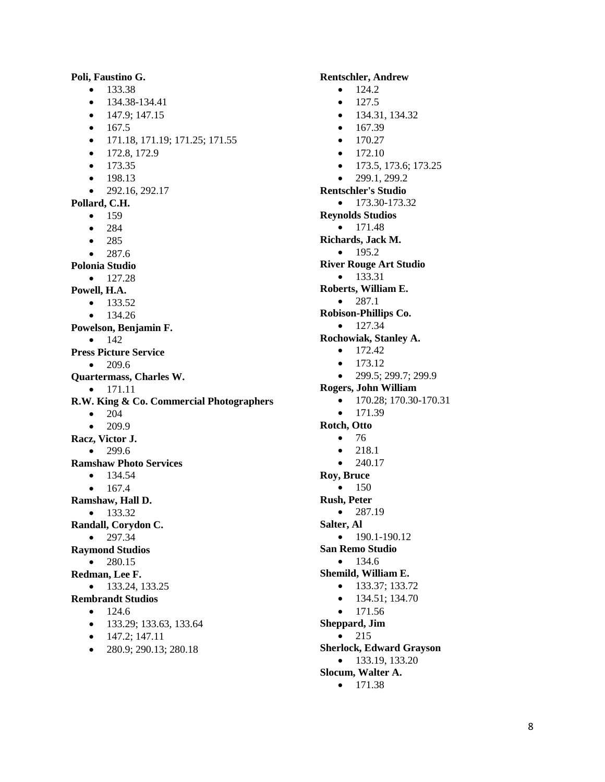**Poli, Faustino G.**  $-133.38$  $\bullet$  134.38-134.41  $\bullet$  147.9; 147.15  $• 167.5$  171.18, 171.19; 171.25; 171.55  $\bullet$  172.8, 172.9  $• 173.35$  $-198.13$  $-292.16, 292.17$ **Pollard, C.H.**  $• 159$  $• 284$  $• 285$  $-287.6$ **Polonia Studio**  $\bullet$  127.28 **Powell, H.A.**  $• 133.52$  $• 134.26$ **Powelson, Benjamin F.**  $• 142$ **Press Picture Service**  $• 209.6$ **Quartermass, Charles W.**  $\bullet$  171.11 **R.W. King & Co. Commercial Photographers**  $\bullet$  204 209.9 **Racz, Victor J.**  $• 299.6$ **Ramshaw Photo Services**  $• 134.54$  167.4 **Ramshaw, Hall D.**  $• 133.32$ **Randall, Corydon C.**  $• 297.34$ **Raymond Studios**  $• 280.15$ **Redman, Lee F.**  $\bullet$  133.24, 133.25 **Rembrandt Studios**  $-124.6$  133.29; 133.63, 133.64  $\bullet$  147.2; 147.11

 $\bullet$  280.9; 290.13; 280.18

**Rentschler, Andrew**  $-124.2$  127.5  $\bullet$  134.31, 134.32  $\bullet$  167.39  $\bullet$  170.27  $-172.10$  $\bullet$  173.5, 173.6; 173.25  $\bullet$  299.1, 299.2 **Rentschler's Studio**  $\bullet$  173.30-173.32 **Reynolds Studios**  $\bullet$  171.48 **Richards, Jack M.**  $-195.2$ **River Rouge Art Studio**  $• 133.31$ **Roberts, William E.**  $-2871$ **Robison-Phillips Co.**  $• 127.34$ **Rochowiak, Stanley A.**  $\bullet$  172.42  $-173.12$  $\bullet$  299.5; 299.7; 299.9 **Rogers, John William**  $\bullet$  170.28; 170.30-170.31  $• 171.39$ **Rotch, Otto**  $\bullet$  76  $• 218.1$  $• 240.17$ **Roy, Bruce**  $• 150$ **Rush, Peter**  $-287.19$ **Salter, Al**  $\bullet$  190.1-190.12 **San Remo Studio**  $• 134.6$ **Shemild, William E.**  $\bullet$  133.37; 133.72  $\bullet$  134.51; 134.70  $• 171.56$ **Sheppard, Jim**  $\bullet$  215 **Sherlock, Edward Grayson**  $\bullet$  133.19, 133.20 **Slocum, Walter A.**

 $\bullet$  171.38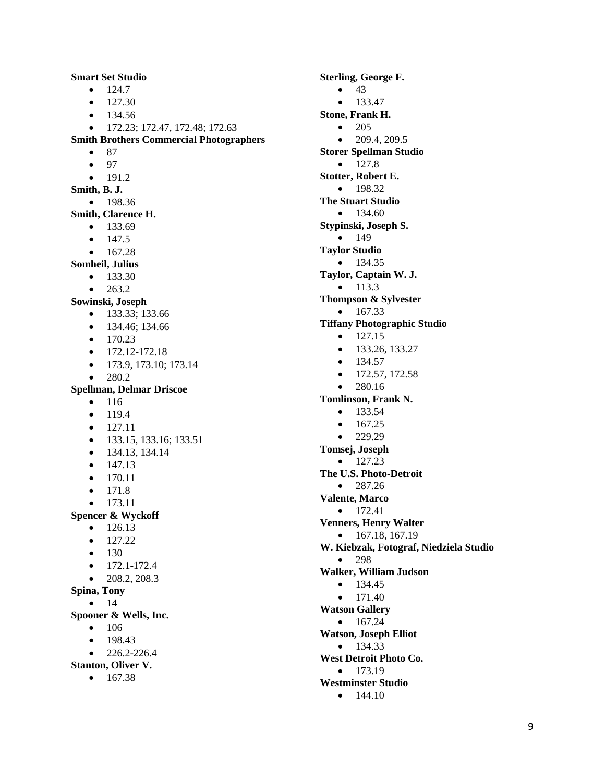$-124.7$  $-127.30$  $• 134.56$  172.23; 172.47, 172.48; 172.63 **Smith Brothers Commercial Photographers**  $• 87$  $• 97$  $-191.2$ **Smith, B. J.**  $• 198.36$ **Smith, Clarence H.**  $• 133.69$  147.5  $• 167.28$ **Somheil, Julius**  $• 133.30$  263.2 **Sowinski, Joseph** • 133.33; 133.66 • 134.46; 134.66  $-170.23$  $\bullet$  172.12-172.18  $\bullet$  173.9, 173.10; 173.14  $-280.2$ **Spellman, Delmar Driscoe**  $• 116$  119.4  $• 127.11$  $\bullet$  133.15, 133.16; 133.51  $\bullet$  134.13, 134.14  $• 147.13$  $• 170.11$  $• 171.8$  173.11 **Spencer & Wyckoff**  $• 126.13$  $\bullet$  127.22  $• 130$  $\bullet$  172.1-172.4  $\bullet$  208.2, 208.3 **Spina, Tony**  $• 14$ **Spooner & Wells, Inc.**  $• 106$  $-198.43$  $\bullet$  226.2-226.4 **Stanton, Oliver V.**  $• 167.38$ 

**Smart Set Studio**

**Sterling, George F.**  $• 43$  $• 133.47$ **Stone, Frank H.** • 205  $\bullet$  209.4, 209.5 **Storer Spellman Studio**  $-127.8$ **Stotter, Robert E.**  $-198.32$ **The Stuart Studio**  $• 134.60$ **Stypinski, Joseph S.**  $• 149$ **Taylor Studio**  $• 134.35$ **Taylor, Captain W. J.**  $-113.3$ **Thompson & Sylvester**  $• 167.33$ **Tiffany Photographic Studio**  $\bullet$  127.15  $\bullet$  133.26, 133.27  $• 134.57$  $\bullet$  172.57, 172.58  $• 280.16$ **Tomlinson, Frank N.**  $• 133.54$  $• 167.25$  $• 229.29$ **Tomsej, Joseph**  $\bullet$  127.23 **The U.S. Photo-Detroit**  $• 287.26$ **Valente, Marco**  $• 172.41$ **Venners, Henry Walter**  $\bullet$  167.18, 167.19 **W. Kiebzak, Fotograf, Niedziela Studio**  $• 298$ **Walker, William Judson**  $-134.45$  $\bullet$  171.40 **Watson Gallery**  $• 167.24$ **Watson, Joseph Elliot**  $• 134.33$ **West Detroit Photo Co.**  $• 173.19$ **Westminster Studio**  $\bullet$  144.10